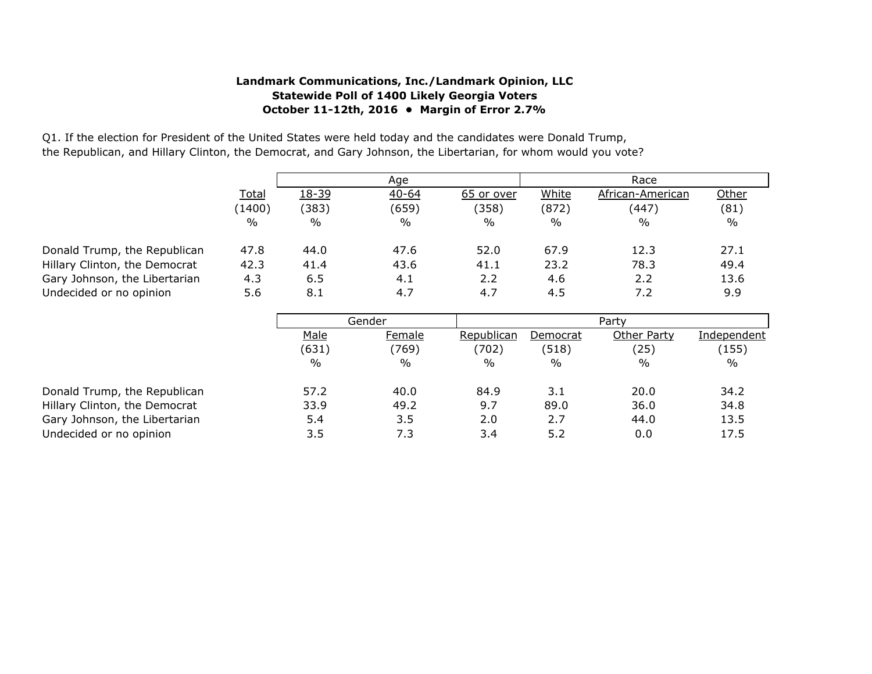## **Landmark Communications, Inc./Landmark Opinion, LLC Statewide Poll of 1400 Likely Georgia Voters October 11-12th, 2016 • Margin of Error 2.7%**

Q1. If the election for President of the United States were held today and the candidates were Donald Trump, the Republican, and Hillary Clinton, the Democrat, and Gary Johnson, the Libertarian, for whom would you vote?

|               |               | Age           |               | Race  |                  |       |  |
|---------------|---------------|---------------|---------------|-------|------------------|-------|--|
| <b>Total</b>  | 18-39         | $40 - 64$     | 65 or over    | White | African-American | Other |  |
| (1400)        | (383)         | (659)         | (358)         | (872) | (447)            | (81)  |  |
| $\frac{0}{0}$ | $\frac{0}{0}$ | $\frac{0}{0}$ | $\frac{0}{0}$ | $\%$  | $\frac{0}{0}$    | $\%$  |  |
| 47.8          | 44.0          | 47.6          | 52.0          | 67.9  | 12.3             | 27.1  |  |
|               |               |               |               |       |                  |       |  |
| 42.3          | 41.4          | 43.6          | 41.1          | 23.2  | 78.3             | 49.4  |  |
| 4.3           | 6.5           | 4.1           | 2.2           | 4.6   | 2.2              | 13.6  |  |
| 5.6           | 8.1           | 4.7           | 4.7           | 4.5   | 7.2              | 9.9   |  |

Donald Trump, the Republican Hillary Clinton, the Democrat Gary Johnson, the Libertarian Undecided or no opinion

|                               | Gender |        | Party      |          |             |             |
|-------------------------------|--------|--------|------------|----------|-------------|-------------|
|                               | Male   | Female | Republican | Democrat | Other Party | Independent |
|                               | (631)  | (769)  | (702)      | (518)    | (25)        | (155)       |
|                               | %      | $\%$   | %          | $\%$     | $\%$        | $\%$        |
| Donald Trump, the Republican  | 57.2   | 40.0   | 84.9       | 3.1      | 20.0        | 34.2        |
| Hillary Clinton, the Democrat | 33.9   | 49.2   | 9.7        | 89.0     | 36.0        | 34.8        |
| Gary Johnson, the Libertarian | 5.4    | 3.5    | 2.0        | 2.7      | 44.0        | 13.5        |
| Undecided or no opinion       | 3.5    | 7.3    | 3.4        | 5.2      | 0.0         | 17.5        |